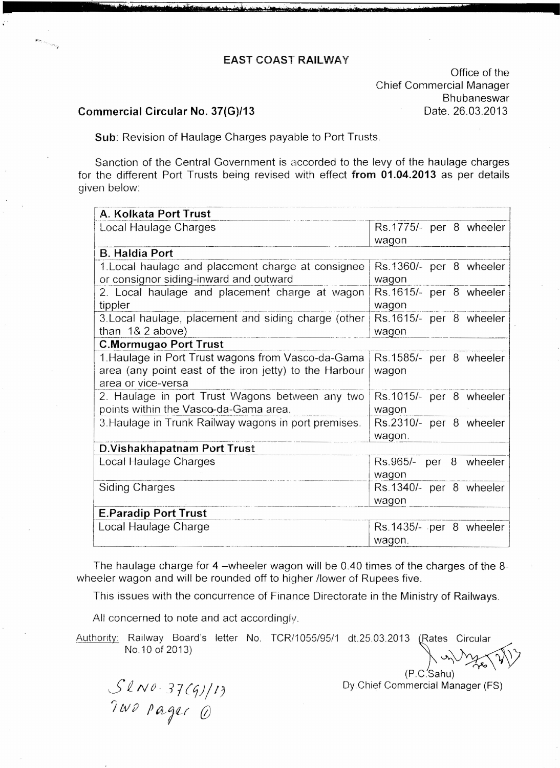## EAST COAST RAILWAY

<u> 1999 - Alexander Constitution de Marcola (Alexander de La Constitution de la Constitution de la Constitution de la Constitution de la Constitution de la Constitution de la Constitution de la Constitution de la Constituti</u>

Office of the Chief Commercial Manager Bhubaneswar Date. 26.03.2013

## Commercial Circular No, 37(G)/13

Sub: Revision of Haulage Charges payable to Port Trusts.

Sanction of the Central Government is accorded to the levy of the haulage charges for the different Port Trusts being revised with effect from 01.04.2013 as per details given below:

| A. Kolkata Port Trust                                  |                         |
|--------------------------------------------------------|-------------------------|
| Local Haulage Charges                                  | Rs.1775/- per 8 wheeler |
|                                                        | wagon                   |
| <b>B. Haldia Port</b>                                  |                         |
| 1. Local haulage and placement charge at consignee     | Rs.1360/- per 8 wheeler |
| or consignor siding-inward and outward                 | wagon                   |
| 2. Local haulage and placement charge at wagon         | Rs.1615/- per 8 wheeler |
| tippler                                                | wagon                   |
| 3. Local haulage, placement and siding charge (other   | Rs.1615/- per 8 wheeler |
| than $18.2$ above)                                     | wagon                   |
| <b>C.Mormugao Port Trust</b>                           |                         |
| 1. Haulage in Port Trust wagons from Vasco-da-Gama     | Rs.1585/- per 8 wheeler |
| area (any point east of the iron jetty) to the Harbour | wagon                   |
| area or vice-versa                                     |                         |
| 2. Haulage in port Trust Wagons between any two        | Rs.1015/- per 8 wheeler |
| points within the Vasco-da-Gama area.                  | wagon                   |
| 3. Haulage in Trunk Railway wagons in port premises.   | Rs.2310/- per 8 wheeler |
|                                                        | wagon.                  |
| D. Vishakhapatnam Port Trust                           |                         |
| Local Haulage Charges                                  | Rs.965/- per 8 wheeler  |
|                                                        | wagon                   |
| <b>Siding Charges</b>                                  | Rs.1340/- per 8 wheeler |
|                                                        | wagon                   |
| <b>E.Paradip Port Trust</b>                            |                         |
| Local Haulage Charge                                   | Rs.1435/- per 8 wheeler |
|                                                        | wagon.                  |

The haulage charge for 4 -wheeler wagon will be 0.40 times of the charges of the 8wheeler wagon and will be rounded off to higher /lower of Rupees five.

This issues with the concurrence of Finance Directorate in the Ministry of Railways.

All concerned to note and act accordingly.

Authority: Railway Board's letter No. TCR/1055/95/1 NO.10 of 2013) dt.25.03.2013 *(*Rates Circula

*SiNO. 37{q)/I)*  $T W D$  *pages (i)* 

(P.C.Sahu) Oy.Chief Commercial Manager (FS)